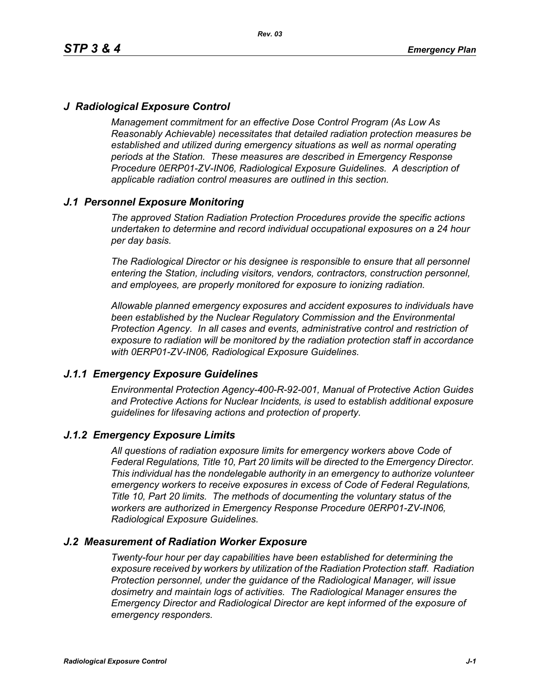# *J Radiological Exposure Control*

*Management commitment for an effective Dose Control Program (As Low As Reasonably Achievable) necessitates that detailed radiation protection measures be established and utilized during emergency situations as well as normal operating periods at the Station. These measures are described in Emergency Response Procedure 0ERP01-ZV-IN06, Radiological Exposure Guidelines. A description of applicable radiation control measures are outlined in this section.*

# *J.1 Personnel Exposure Monitoring*

*The approved Station Radiation Protection Procedures provide the specific actions undertaken to determine and record individual occupational exposures on a 24 hour per day basis.*

*The Radiological Director or his designee is responsible to ensure that all personnel entering the Station, including visitors, vendors, contractors, construction personnel, and employees, are properly monitored for exposure to ionizing radiation.*

*Allowable planned emergency exposures and accident exposures to individuals have been established by the Nuclear Regulatory Commission and the Environmental Protection Agency. In all cases and events, administrative control and restriction of exposure to radiation will be monitored by the radiation protection staff in accordance with 0ERP01-ZV-IN06, Radiological Exposure Guidelines.*

### *J.1.1 Emergency Exposure Guidelines*

*Environmental Protection Agency-400-R-92-001, Manual of Protective Action Guides and Protective Actions for Nuclear Incidents, is used to establish additional exposure guidelines for lifesaving actions and protection of property.*

### *J.1.2 Emergency Exposure Limits*

*All questions of radiation exposure limits for emergency workers above Code of Federal Regulations, Title 10, Part 20 limits will be directed to the Emergency Director. This individual has the nondelegable authority in an emergency to authorize volunteer emergency workers to receive exposures in excess of Code of Federal Regulations, Title 10, Part 20 limits. The methods of documenting the voluntary status of the workers are authorized in Emergency Response Procedure 0ERP01-ZV-IN06, Radiological Exposure Guidelines.*

### *J.2 Measurement of Radiation Worker Exposure*

*Twenty-four hour per day capabilities have been established for determining the exposure received by workers by utilization of the Radiation Protection staff. Radiation Protection personnel, under the guidance of the Radiological Manager, will issue dosimetry and maintain logs of activities. The Radiological Manager ensures the Emergency Director and Radiological Director are kept informed of the exposure of emergency responders.*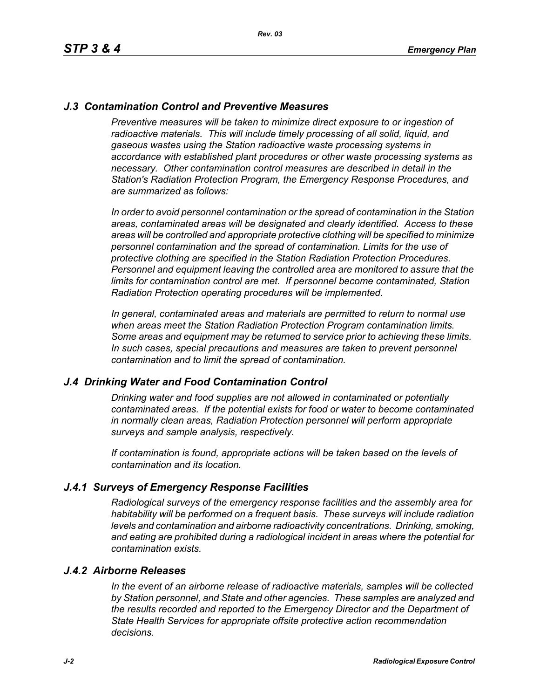## *J.3 Contamination Control and Preventive Measures*

*Preventive measures will be taken to minimize direct exposure to or ingestion of* radioactive materials. This will include timely processing of all solid, liquid, and *gaseous wastes using the Station radioactive waste processing systems in accordance with established plant procedures or other waste processing systems as necessary. Other contamination control measures are described in detail in the Station's Radiation Protection Program, the Emergency Response Procedures, and are summarized as follows:*

*In order to avoid personnel contamination or the spread of contamination in the Station areas, contaminated areas will be designated and clearly identified. Access to these areas will be controlled and appropriate protective clothing will be specified to minimize personnel contamination and the spread of contamination. Limits for the use of protective clothing are specified in the Station Radiation Protection Procedures. Personnel and equipment leaving the controlled area are monitored to assure that the limits for contamination control are met. If personnel become contaminated, Station Radiation Protection operating procedures will be implemented.* 

*In general, contaminated areas and materials are permitted to return to normal use when areas meet the Station Radiation Protection Program contamination limits. Some areas and equipment may be returned to service prior to achieving these limits. In such cases, special precautions and measures are taken to prevent personnel contamination and to limit the spread of contamination.*

### *J.4 Drinking Water and Food Contamination Control*

*Drinking water and food supplies are not allowed in contaminated or potentially contaminated areas. If the potential exists for food or water to become contaminated in normally clean areas, Radiation Protection personnel will perform appropriate surveys and sample analysis, respectively.*

*If contamination is found, appropriate actions will be taken based on the levels of contamination and its location.*

### *J.4.1 Surveys of Emergency Response Facilities*

*Radiological surveys of the emergency response facilities and the assembly area for habitability will be performed on a frequent basis. These surveys will include radiation levels and contamination and airborne radioactivity concentrations. Drinking, smoking, and eating are prohibited during a radiological incident in areas where the potential for contamination exists.*

#### *J.4.2 Airborne Releases*

*In the event of an airborne release of radioactive materials, samples will be collected by Station personnel, and State and other agencies. These samples are analyzed and the results recorded and reported to the Emergency Director and the Department of State Health Services for appropriate offsite protective action recommendation decisions.*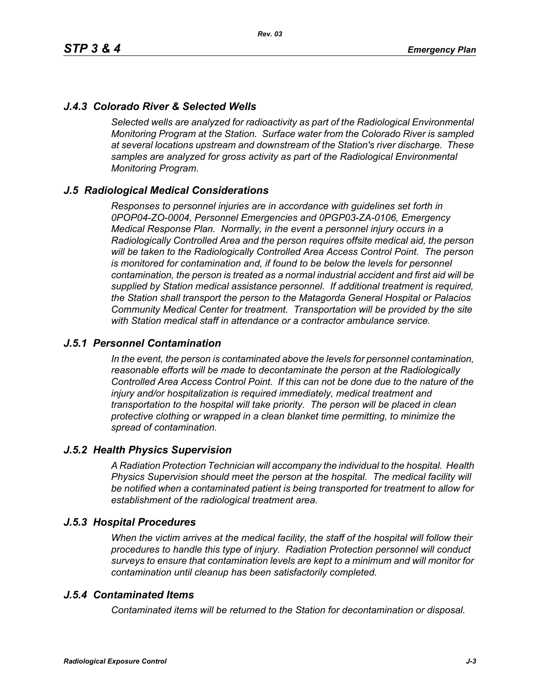# *J.4.3 Colorado River & Selected Wells*

*Selected wells are analyzed for radioactivity as part of the Radiological Environmental Monitoring Program at the Station. Surface water from the Colorado River is sampled at several locations upstream and downstream of the Station's river discharge. These samples are analyzed for gross activity as part of the Radiological Environmental Monitoring Program.*

### *J.5 Radiological Medical Considerations*

*Responses to personnel injuries are in accordance with guidelines set forth in 0POP04-ZO-0004, Personnel Emergencies and 0PGP03-ZA-0106, Emergency Medical Response Plan. Normally, in the event a personnel injury occurs in a Radiologically Controlled Area and the person requires offsite medical aid, the person will be taken to the Radiologically Controlled Area Access Control Point. The person is monitored for contamination and, if found to be below the levels for personnel contamination, the person is treated as a normal industrial accident and first aid will be supplied by Station medical assistance personnel. If additional treatment is required, the Station shall transport the person to the Matagorda General Hospital or Palacios Community Medical Center for treatment. Transportation will be provided by the site with Station medical staff in attendance or a contractor ambulance service.*

### *J.5.1 Personnel Contamination*

*In the event, the person is contaminated above the levels for personnel contamination, reasonable efforts will be made to decontaminate the person at the Radiologically Controlled Area Access Control Point. If this can not be done due to the nature of the injury and/or hospitalization is required immediately, medical treatment and transportation to the hospital will take priority. The person will be placed in clean protective clothing or wrapped in a clean blanket time permitting, to minimize the spread of contamination.*

### *J.5.2 Health Physics Supervision*

*A Radiation Protection Technician will accompany the individual to the hospital. Health Physics Supervision should meet the person at the hospital. The medical facility will be notified when a contaminated patient is being transported for treatment to allow for establishment of the radiological treatment area.*

### *J.5.3 Hospital Procedures*

*When the victim arrives at the medical facility, the staff of the hospital will follow their procedures to handle this type of injury. Radiation Protection personnel will conduct surveys to ensure that contamination levels are kept to a minimum and will monitor for contamination until cleanup has been satisfactorily completed.*

### *J.5.4 Contaminated Items*

*Contaminated items will be returned to the Station for decontamination or disposal.*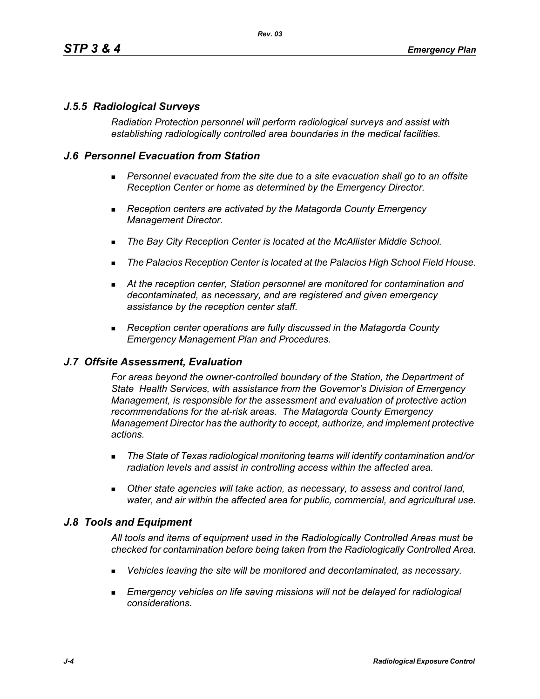# *J.5.5 Radiological Surveys*

*Radiation Protection personnel will perform radiological surveys and assist with establishing radiologically controlled area boundaries in the medical facilities.*

## *J.6 Personnel Evacuation from Station*

- **Personnel evacuated from the site due to a site evacuation shall go to an offsite** *Reception Center or home as determined by the Emergency Director.*
- *Reception centers are activated by the Matagorda County Emergency Management Director.*
- *The Bay City Reception Center is located at the McAllister Middle School.*
- *The Palacios Reception Center is located at the Palacios High School Field House.*
- *At the reception center, Station personnel are monitored for contamination and decontaminated, as necessary, and are registered and given emergency assistance by the reception center staff.*
- *Reception center operations are fully discussed in the Matagorda County Emergency Management Plan and Procedures.*

### *J.7 Offsite Assessment, Evaluation*

*For areas beyond the owner-controlled boundary of the Station, the Department of State Health Services, with assistance from the Governor's Division of Emergency Management, is responsible for the assessment and evaluation of protective action recommendations for the at-risk areas. The Matagorda County Emergency Management Director has the authority to accept, authorize, and implement protective actions.*

- *The State of Texas radiological monitoring teams will identify contamination and/or radiation levels and assist in controlling access within the affected area.*
- *Other state agencies will take action, as necessary, to assess and control land, water, and air within the affected area for public, commercial, and agricultural use.*

### *J.8 Tools and Equipment*

*All tools and items of equipment used in the Radiologically Controlled Areas must be checked for contamination before being taken from the Radiologically Controlled Area.*

- *Vehicles leaving the site will be monitored and decontaminated, as necessary.*
- **Emergency vehicles on life saving missions will not be delayed for radiological** *considerations.*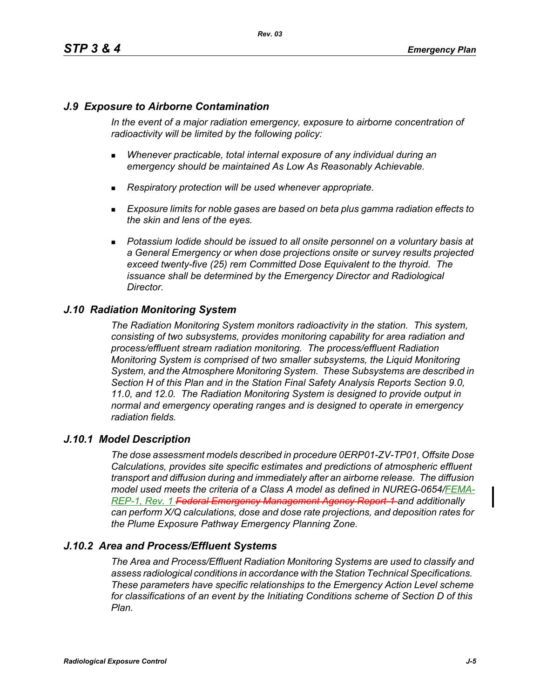# *J.9 Exposure to Airborne Contamination*

*In the event of a major radiation emergency, exposure to airborne concentration of radioactivity will be limited by the following policy:*

- *Whenever practicable, total internal exposure of any individual during an emergency should be maintained As Low As Reasonably Achievable.*
- *Respiratory protection will be used whenever appropriate.*
- *Exposure limits for noble gases are based on beta plus gamma radiation effects to the skin and lens of the eyes.*
- **Potassium lodide should be issued to all onsite personnel on a voluntary basis at** *a General Emergency or when dose projections onsite or survey results projected exceed twenty-five (25) rem Committed Dose Equivalent to the thyroid. The issuance shall be determined by the Emergency Director and Radiological Director.*

# *J.10 Radiation Monitoring System*

*The Radiation Monitoring System monitors radioactivity in the station. This system, consisting of two subsystems, provides monitoring capability for area radiation and process/effluent stream radiation monitoring. The process/effluent Radiation Monitoring System is comprised of two smaller subsystems, the Liquid Monitoring System, and the Atmosphere Monitoring System. These Subsystems are described in Section H of this Plan and in the Station Final Safety Analysis Reports Section 9.0, 11.0, and 12.0. The Radiation Monitoring System is designed to provide output in normal and emergency operating ranges and is designed to operate in emergency radiation fields.*

### *J.10.1 Model Description*

*The dose assessment models described in procedure 0ERP01-ZV-TP01, Offsite Dose Calculations, provides site specific estimates and predictions of atmospheric effluent transport and diffusion during and immediately after an airborne release. The diffusion model used meets the criteria of a Class A model as defined in NUREG-0654/FEMA-REP-1, Rev. 1 Federal Emergency Management Agency Report-1 and additionally can perform X/Q calculations, dose and dose rate projections, and deposition rates for the Plume Exposure Pathway Emergency Planning Zone.*

# *J.10.2 Area and Process/Effluent Systems*

*The Area and Process/Effluent Radiation Monitoring Systems are used to classify and assess radiological conditions in accordance with the Station Technical Specifications. These parameters have specific relationships to the Emergency Action Level scheme for classifications of an event by the Initiating Conditions scheme of Section D of this Plan.*